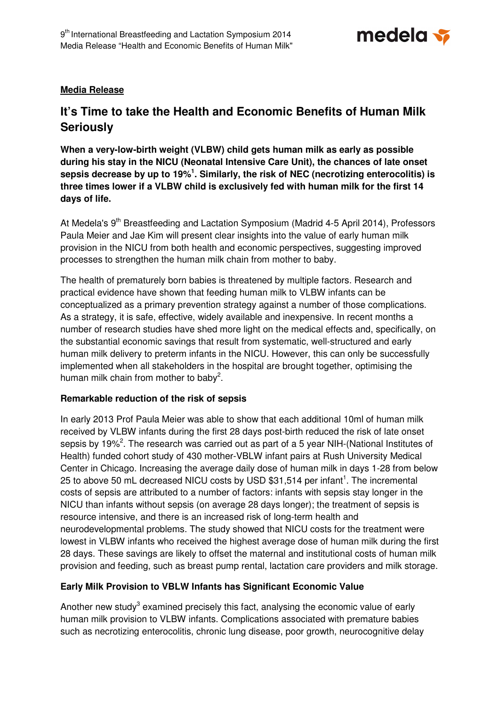

## **Media Release**

# **It's Time to take the Health and Economic Benefits of Human Milk Seriously**

**When a very-low-birth weight (VLBW) child gets human milk as early as possible during his stay in the NICU (Neonatal Intensive Care Unit), the chances of late onset sepsis decrease by up to 19%<sup>1</sup> . Similarly, the risk of NEC (necrotizing enterocolitis) is three times lower if a VLBW child is exclusively fed with human milk for the first 14 days of life.** 

At Medela's 9<sup>th</sup> Breastfeeding and Lactation Symposium (Madrid 4-5 April 2014), Professors Paula Meier and Jae Kim will present clear insights into the value of early human milk provision in the NICU from both health and economic perspectives, suggesting improved processes to strengthen the human milk chain from mother to baby.

The health of prematurely born babies is threatened by multiple factors. Research and practical evidence have shown that feeding human milk to VLBW infants can be conceptualized as a primary prevention strategy against a number of those complications. As a strategy, it is safe, effective, widely available and inexpensive. In recent months a number of research studies have shed more light on the medical effects and, specifically, on the substantial economic savings that result from systematic, well-structured and early human milk delivery to preterm infants in the NICU. However, this can only be successfully implemented when all stakeholders in the hospital are brought together, optimising the human milk chain from mother to baby<sup>2</sup>.

### **Remarkable reduction of the risk of sepsis**

In early 2013 Prof Paula Meier was able to show that each additional 10ml of human milk received by VLBW infants during the first 28 days post-birth reduced the risk of late onset sepsis by 19%<sup>2</sup>. The research was carried out as part of a 5 year NIH-(National Institutes of Health) funded cohort study of 430 mother-VBLW infant pairs at Rush University Medical Center in Chicago. Increasing the average daily dose of human milk in days 1-28 from below 25 to above 50 mL decreased NICU costs by USD  $$31,514$  per infant<sup>1</sup>. The incremental costs of sepsis are attributed to a number of factors: infants with sepsis stay longer in the NICU than infants without sepsis (on average 28 days longer); the treatment of sepsis is resource intensive, and there is an increased risk of long-term health and neurodevelopmental problems. The study showed that NICU costs for the treatment were lowest in VLBW infants who received the highest average dose of human milk during the first 28 days. These savings are likely to offset the maternal and institutional costs of human milk provision and feeding, such as breast pump rental, lactation care providers and milk storage.

## **Early Milk Provision to VBLW Infants has Significant Economic Value**

Another new study<sup>3</sup> examined precisely this fact, analysing the economic value of early human milk provision to VLBW infants. Complications associated with premature babies such as necrotizing enterocolitis, chronic lung disease, poor growth, neurocognitive delay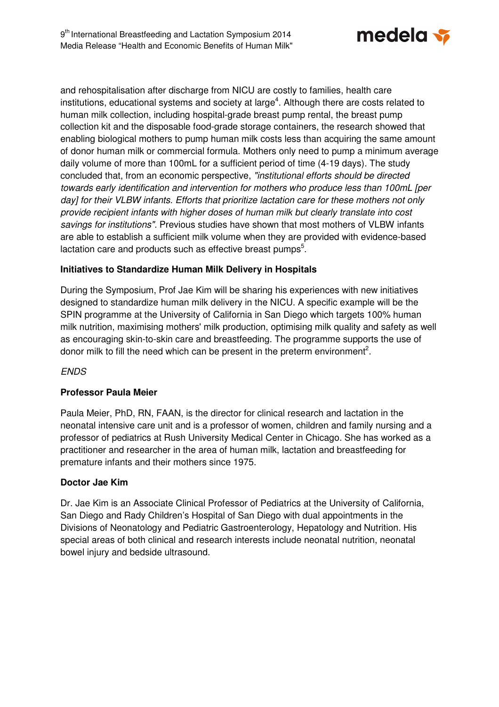

and rehospitalisation after discharge from NICU are costly to families, health care institutions, educational systems and society at large<sup>4</sup>. Although there are costs related to human milk collection, including hospital-grade breast pump rental, the breast pump collection kit and the disposable food-grade storage containers, the research showed that enabling biological mothers to pump human milk costs less than acquiring the same amount of donor human milk or commercial formula. Mothers only need to pump a minimum average daily volume of more than 100mL for a sufficient period of time (4-19 days). The study concluded that, from an economic perspective, "institutional efforts should be directed towards early identification and intervention for mothers who produce less than 100mL [per day] for their VLBW infants. Efforts that prioritize lactation care for these mothers not only provide recipient infants with higher doses of human milk but clearly translate into cost savings for institutions". Previous studies have shown that most mothers of VLBW infants are able to establish a sufficient milk volume when they are provided with evidence-based lactation care and products such as effective breast pumps<sup>5</sup>.

## **Initiatives to Standardize Human Milk Delivery in Hospitals**

During the Symposium, Prof Jae Kim will be sharing his experiences with new initiatives designed to standardize human milk delivery in the NICU. A specific example will be the SPIN programme at the University of California in San Diego which targets 100% human milk nutrition, maximising mothers' milk production, optimising milk quality and safety as well as encouraging skin-to-skin care and breastfeeding. The programme supports the use of donor milk to fill the need which can be present in the preterm environment<sup>2</sup>.

### ENDS

## **Professor Paula Meier**

Paula Meier, PhD, RN, FAAN, is the director for clinical research and lactation in the neonatal intensive care unit and is a professor of women, children and family nursing and a professor of pediatrics at Rush University Medical Center in Chicago. She has worked as a practitioner and researcher in the area of human milk, lactation and breastfeeding for premature infants and their mothers since 1975.

### **Doctor Jae Kim**

Dr. Jae Kim is an Associate Clinical Professor of Pediatrics at the University of California, San Diego and Rady Children's Hospital of San Diego with dual appointments in the Divisions of Neonatology and Pediatric Gastroenterology, Hepatology and Nutrition. His special areas of both clinical and research interests include neonatal nutrition, neonatal bowel injury and bedside ultrasound.